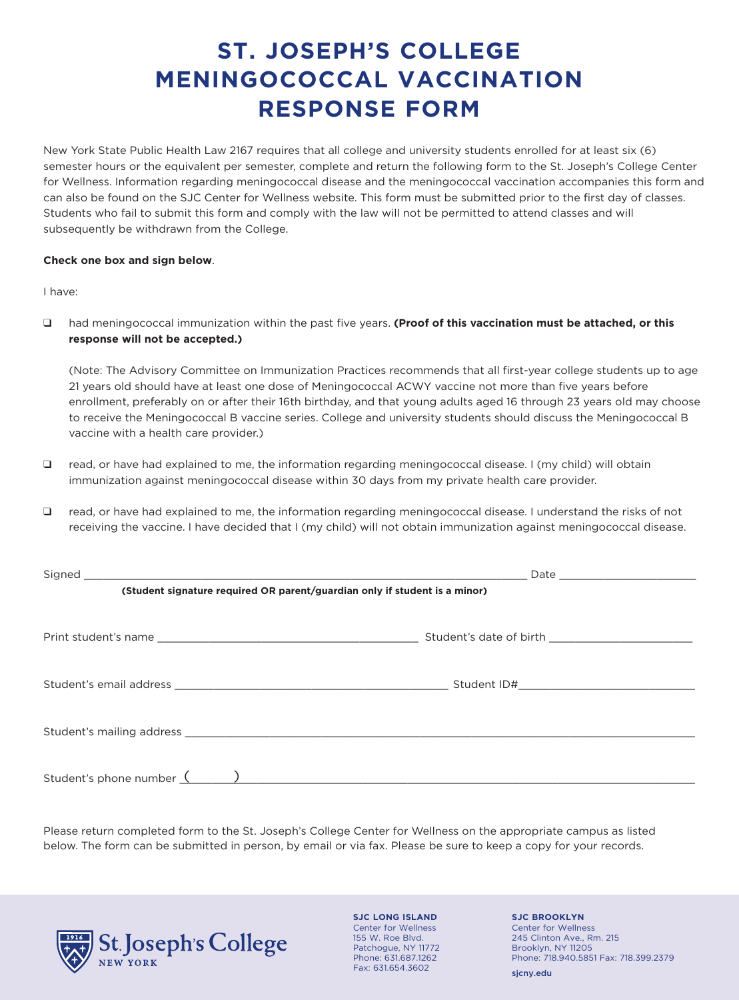# **ST. JOSEPH'S COLLEGE MENINGOCOCCAL VACCINATION RESPONSE FORM**

New York State Public Health Law 2167 requires that all college and university students enrolled for at least six (6) semester hours or the equivalent per semester, complete and return the following form to the St. Joseph's College Center for Wellness. Information regarding meningococcal disease and the meningococcal vaccination accompanies this form and can also be found on the SJC Center for Wellness website. This form must be submitted prior to the first day of classes. Students who fail to submit this form and comply with the law will not be permitted to attend classes and will subsequently be withdrawn from the College.

## **Check one box and sign below**.

## I have:

□ had meningococcal immunization within the past five years. **(Proof of this vaccination must be attached, or this response will not be accepted.)**

(Note: The Advisory Committee on Immunization Practices recommends that all first-year college students up to age 21 years old should have at least one dose of Meningococcal ACWY vaccine not more than five years before enrollment, preferably on or after their 16th birthday, and that young adults aged 16 through 23 years old may choose to receive the Meningococcal B vaccine series. College and university students should discuss the Meningococcal B vaccine with a health care provider.)

- $\Box$  read, or have had explained to me, the information regarding meningococcal disease. I (my child) will obtain immunization against meningococcal disease within 30 days from my private health care provider.
- q read, or have had explained to me, the information regarding meningococcal disease. I understand the risks of not receiving the vaccine. I have decided that I (my child) will not obtain immunization against meningococcal disease.

| (Student signature required OR parent/guardian only if student is a minor) |  |  |
|----------------------------------------------------------------------------|--|--|
|                                                                            |  |  |
|                                                                            |  |  |
|                                                                            |  |  |
|                                                                            |  |  |
|                                                                            |  |  |
|                                                                            |  |  |
|                                                                            |  |  |
|                                                                            |  |  |
| Student's phone number $($ $)$                                             |  |  |

Please return completed form to the St. Joseph's College Center for Wellness on the appropriate campus as listed below. The form can be submitted in person, by email or via fax. Please be sure to keep a copy for your records.



**SJC LONG ISLAND** Center for Wellness 155 W. Roe Blvd. Patchogue, NY 11772 Phone: 631.687.1262 Fax: 631.654.3602

**SJC BROOKLYN** Center for Wellness 245 Clinton Ave., Rm. 215 Brooklyn, NY 11205 Phone: 718.940.5851 Fax: 718.399.2379

sjcny.edu